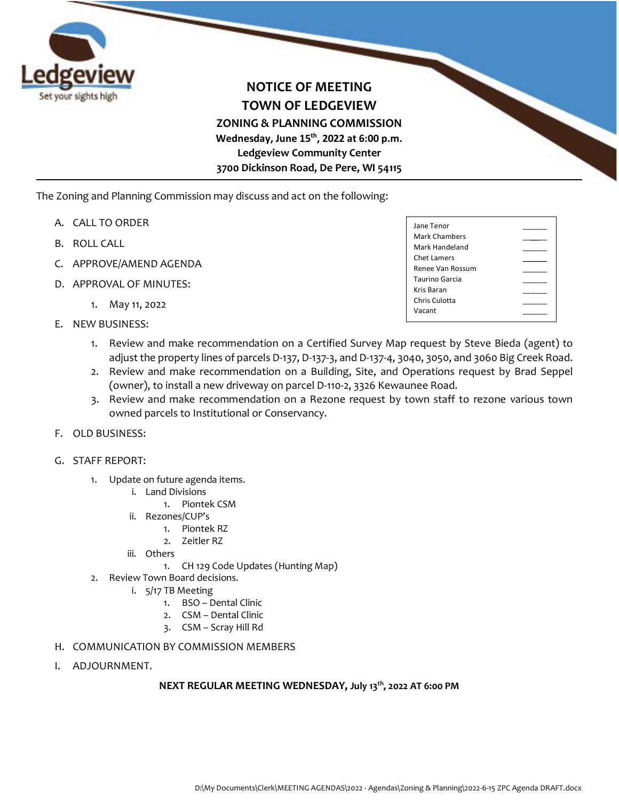

## **NOTICE OF MEETING TOWN OF LEDGEVIEW ZONING & PLANNING COMMISSION Wednesday, June 15th, 2022 at 6:00 p.m. Ledgeview Community Center 3700 Dickinson Road, De Pere, WI 54115**

The Zoning and Planning Commission may discuss and act on the following:

- A. CALL TO ORDER
- B. ROLL CALL
- C. APPROVE/AMEND AGENDA
- D. APPROVAL OF MINUTES:
	- 1. May 11, 2022
- E. NEW BUSINESS:

| Jane Tenor       |  |
|------------------|--|
| Mark Chambers    |  |
| Mark Handeland   |  |
| Chet Lamers      |  |
| Renee Van Rossum |  |
| Taurino Garcia   |  |
| Kris Baran       |  |
| Chris Culotta    |  |
| Vacant           |  |
|                  |  |

- 1. Review and make recommendation on a Certified Survey Map request by Steve Bieda (agent) to adjust the property lines of parcels D-137, D-137-3, and D-137-4, 3040, 3050, and 3060 Big Creek Road.
- 2. Review and make recommendation on a Building, Site, and Operations request by Brad Seppel (owner), to install a new driveway on parcel D-110-2, 3326 Kewaunee Road.
- 3. Review and make recommendation on a Rezone request by town staff to rezone various town owned parcels to Institutional or Conservancy.
- F. OLD BUSINESS:
- G. STAFF REPORT:
	- 1. Update on future agenda items.
		- i. Land Divisions
			- 1. Piontek CSM
		- ii. Rezones/CUP's
			- 1. Piontek RZ
			- 2. Zeitler RZ
		- iii. Others
			- 1. CH 129 Code Updates (Hunting Map)
	- 2. Review Town Board decisions.
		- i. 5/17 TB Meeting
			- 1. BSO Dental Clinic
			- 2. CSM Dental Clinic
			- 3. CSM Scray Hill Rd
- H. COMMUNICATION BY COMMISSION MEMBERS
- I. ADJOURNMENT.

## **NEXT REGULAR MEETING WEDNESDAY, July 13th, 2022 AT 6:00 PM**